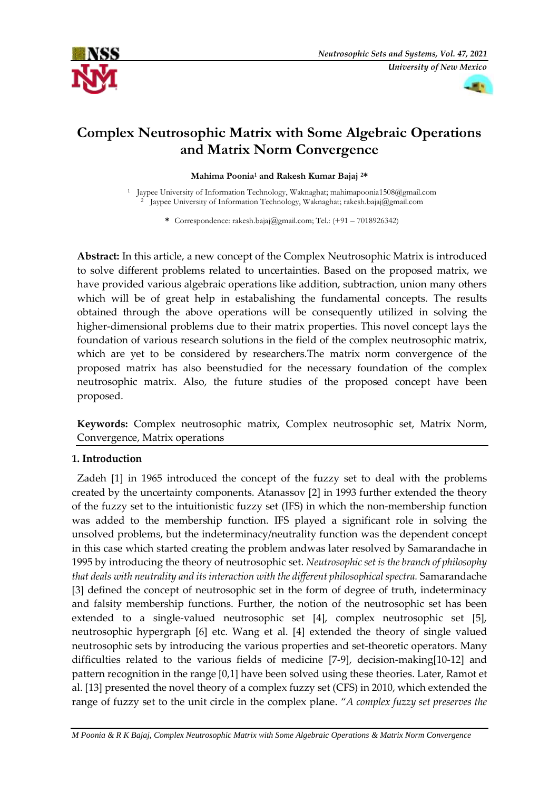



# **Complex Neutrosophic Matrix with Some Algebraic Operations and Matrix Norm Convergence**

#### **Mahima Poonia<sup>1</sup> and Rakesh Kumar Bajaj 2\***

<sup>1</sup> Jaypee University of Information Technology, Waknaghat; mahimapoonia1508@gmail.com <sup>2</sup> Jaypee University of Information Technology, Waknaghat; rakesh.bajaj@gmail.com

**\*** Correspondence: rakesh.bajaj@gmail.com; Tel.: (+91 – 7018926342)

**Abstract:** In this article, a new concept of the Complex Neutrosophic Matrix is introduced to solve different problems related to uncertainties. Based on the proposed matrix, we have provided various algebraic operations like addition, subtraction, union many others which will be of great help in estabalishing the fundamental concepts. The results obtained through the above operations will be consequently utilized in solving the higher-dimensional problems due to their matrix properties. This novel concept lays the foundation of various research solutions in the field of the complex neutrosophic matrix, which are yet to be considered by researchers.The matrix norm convergence of the proposed matrix has also beenstudied for the necessary foundation of the complex neutrosophic matrix. Also, the future studies of the proposed concept have been proposed.

**Keywords:** Complex neutrosophic matrix, Complex neutrosophic set, Matrix Norm, Convergence, Matrix operations

## **1. Introduction**

Zadeh [1] in 1965 introduced the concept of the fuzzy set to deal with the problems created by the uncertainty components. Atanassov [2] in 1993 further extended the theory of the fuzzy set to the intuitionistic fuzzy set (IFS) in which the non-membership function was added to the membership function. IFS played a significant role in solving the unsolved problems, but the indeterminacy/neutrality function was the dependent concept in this case which started creating the problem andwas later resolved by Samarandache in 1995 by introducing the theory of neutrosophic set. *Neutrosophic set is the branch of philosophy that deals with neutrality and its interaction with the different philosophical spectra.* Samarandache [3] defined the concept of neutrosophic set in the form of degree of truth, indeterminacy and falsity membership functions. Further, the notion of the neutrosophic set has been extended to a single-valued neutrosophic set [4], complex neutrosophic set [5], neutrosophic hypergraph [6] etc. Wang et al. [4] extended the theory of single valued neutrosophic sets by introducing the various properties and set-theoretic operators. Many difficulties related to the various fields of medicine [7-9], decision-making[10-12] and pattern recognition in the range [0,1] have been solved using these theories. Later, Ramot et al. [13] presented the novel theory of a complex fuzzy set (CFS) in 2010, which extended the range of fuzzy set to the unit circle in the complex plane. "*A complex fuzzy set preserves the* 

*M Poonia & R K Bajaj, Complex Neutrosophic Matrix with Some Algebraic Operations & Matrix Norm Convergence*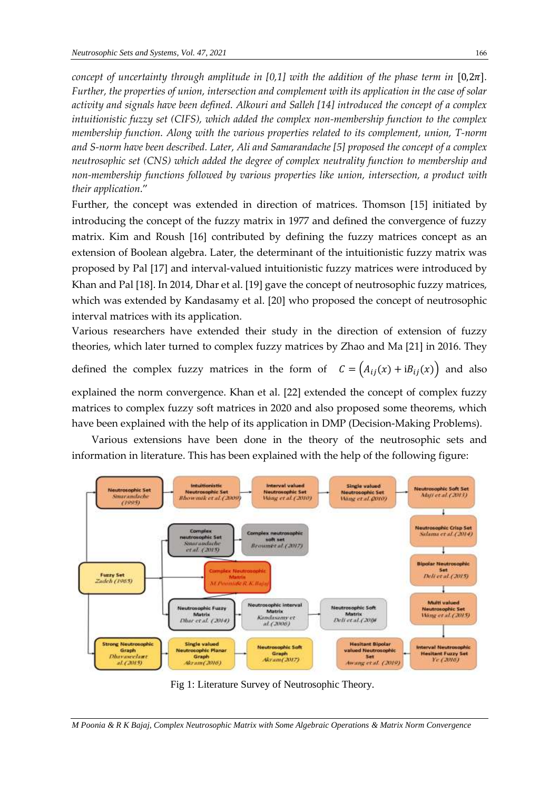*concept of uncertainty through amplitude in [0,1] with the addition of the phase term in*  $[0,2\pi]$ . *Further, the properties of union, intersection and complement with its application in the case of solar activity and signals have been defined. Alkouri and Salleh [14] introduced the concept of a complex intuitionistic fuzzy set (CIFS), which added the complex non-membership function to the complex membership function. Along with the various properties related to its complement, union, T-norm and S-norm have been described. Later, Ali and Samarandache [5] proposed the concept of a complex neutrosophic set (CNS) which added the degree of complex neutrality function to membership and non-membership functions followed by various properties like union, intersection, a product with their application*."

Further, the concept was extended in direction of matrices. Thomson [15] initiated by introducing the concept of the fuzzy matrix in 1977 and defined the convergence of fuzzy matrix. Kim and Roush [16] contributed by defining the fuzzy matrices concept as an extension of Boolean algebra. Later, the determinant of the intuitionistic fuzzy matrix was proposed by Pal [17] and interval-valued intuitionistic fuzzy matrices were introduced by Khan and Pal [18]. In 2014, Dhar et al. [19] gave the concept of neutrosophic fuzzy matrices, which was extended by Kandasamy et al. [20] who proposed the concept of neutrosophic interval matrices with its application.

Various researchers have extended their study in the direction of extension of fuzzy theories, which later turned to complex fuzzy matrices by Zhao and Ma [21] in 2016. They

defined the complex fuzzy matrices in the form of  $C = (A_{ij}(x) + iB_{ij}(x))$  and also explained the norm convergence. Khan et al. [22] extended the concept of complex fuzzy matrices to complex fuzzy soft matrices in 2020 and also proposed some theorems, which have been explained with the help of its application in DMP (Decision-Making Problems).

Various extensions have been done in the theory of the neutrosophic sets and information in literature. This has been explained with the help of the following figure:



Fig 1: Literature Survey of Neutrosophic Theory.

*M Poonia & R K Bajaj, Complex Neutrosophic Matrix with Some Algebraic Operations & Matrix Norm Convergence*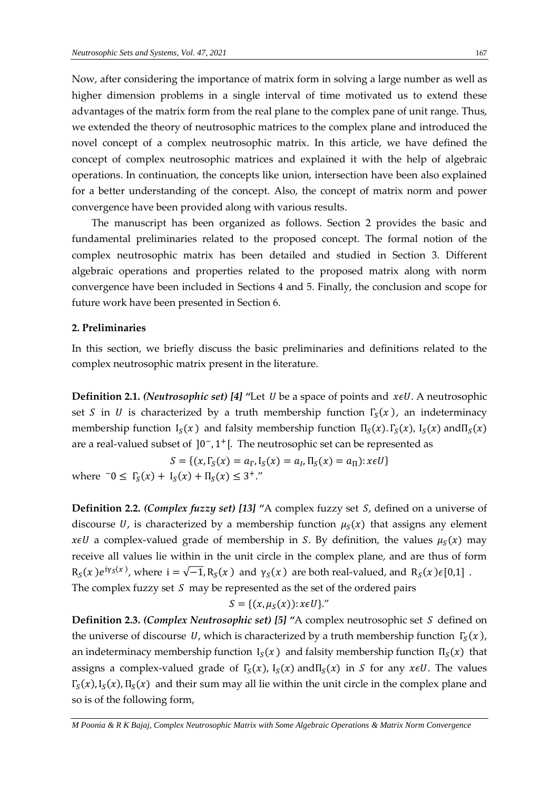Now, after considering the importance of matrix form in solving a large number as well as higher dimension problems in a single interval of time motivated us to extend these advantages of the matrix form from the real plane to the complex pane of unit range. Thus, we extended the theory of neutrosophic matrices to the complex plane and introduced the novel concept of a complex neutrosophic matrix. In this article, we have defined the concept of complex neutrosophic matrices and explained it with the help of algebraic operations. In continuation, the concepts like union, intersection have been also explained for a better understanding of the concept. Also, the concept of matrix norm and power convergence have been provided along with various results.

The manuscript has been organized as follows. Section 2 provides the basic and fundamental preliminaries related to the proposed concept. The formal notion of the complex neutrosophic matrix has been detailed and studied in Section 3. Different algebraic operations and properties related to the proposed matrix along with norm convergence have been included in Sections 4 and 5. Finally, the conclusion and scope for future work have been presented in Section 6.

### **2. Preliminaries**

In this section, we briefly discuss the basic preliminaries and definitions related to the complex neutrosophic matrix present in the literature.

**Definition 2.1.** *(Neutrosophic set)* [4] "Let *U* be a space of points and  $x \in U$ . A neutrosophic set *S* in *U* is characterized by a truth membership function  $\Gamma_{S}(x)$ , an indeterminacy membership function  $I_S(x)$  and falsity membership function  $\Pi_S(x)$ .  $\Gamma_S(x)$ ,  $I_S(x)$  and  $\Pi_S(x)$ are a real-valued subset of  $]0^-, 1^+[$ . The neutrosophic set can be represented as

 $S = \{(x, \Gamma_S(x) = a_\Gamma, I_S(x) = a_I, \Pi_S(x) = a_\Pi): x \in U\}$ where  $-0 \leq \Gamma_S(x) + \Gamma_S(x) + \Pi_S(x) \leq 3^{\dagger}$ ."

**Definition 2.2.** *(Complex fuzzy set)* [13] "A complex fuzzy set *S*, defined on a universe of discourse U, is characterized by a membership function  $\mu_S(x)$  that assigns any element  $x \in U$  a complex-valued grade of membership in S. By definition, the values  $\mu_S(x)$  may receive all values lie within in the unit circle in the complex plane, and are thus of form  $R_S(x)e^{i\gamma_S(x)}$ , where  $i=\sqrt{-1}, R_S(x)$  and  $\gamma_S(x)$  are both real-valued, and  $R_S(x)\epsilon[0,1]$ . The complex fuzzy set  $S$  may be represented as the set of the ordered pairs

$$
S = \{(x, \mu_S(x)) : x \in U\}.
$$

**Definition 2.3.** *(Complex Neutrosophic set)* [5] "A complex neutrosophic set *S* defined on the universe of discourse U, which is characterized by a truth membership function  $\Gamma_{\!S}(x)$ , an indeterminacy membership function  $I_S(x)$  and falsity membership function  $\Pi_S(x)$  that assigns a complex-valued grade of  $\Gamma_{S}(x)$ ,  $I_{S}(x)$  and  $\Pi_{S}(x)$  in *S* for any *xeU*. The values  $\Gamma_{S}(x)$ ,  $I_{S}(x)$ ,  $\Pi_{S}(x)$  and their sum may all lie within the unit circle in the complex plane and so is of the following form,

*M Poonia & R K Bajaj, Complex Neutrosophic Matrix with Some Algebraic Operations & Matrix Norm Convergence*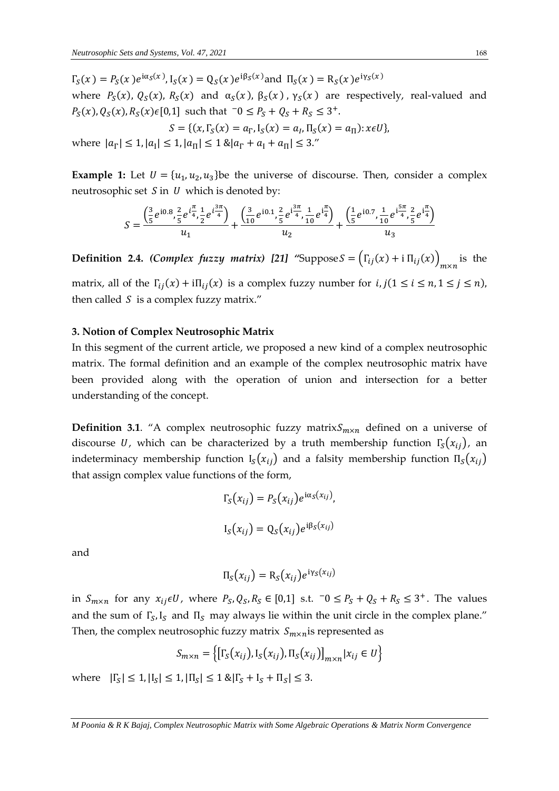$\Gamma_S(x) = P_S(x) e^{i\alpha_S(x)}$ ,  $I_S(x) = Q_S(x) e^{i\beta_S(x)}$  and  $\Pi_S(x) = R_S(x) e^{i\gamma_S(x)}$ where  $P_S(x)$ ,  $Q_S(x)$ ,  $R_S(x)$  and  $\alpha_S(x)$ ,  $\beta_S(x)$ ,  $\gamma_S(x)$  are respectively, real-valued and  $P_S(x)$ ,  $Q_S(x)$ ,  $R_S(x)\in[0,1]$  such that  $\bar{0} \leq P_S + Q_S + R_S \leq 3^+$ .

$$
S = \{ (x, \Gamma_S(x) = a_{\Gamma}, \Gamma_S(x) = a_I, \Pi_S(x) = a_{\Pi}) : x \in U \},\
$$

where  $|a_{\Gamma}| \leq 1, |a_{\Gamma}| \leq 1, |a_{\Pi}| \leq 1$  & $|a_{\Gamma} + a_{\Gamma} + a_{\Pi}| \leq 3$ ."

**Example 1:** Let  $U = \{u_1, u_2, u_3\}$  be the universe of discourse. Then, consider a complex neutrosophic set  $S$  in  $U$  which is denoted by:

$$
S = \frac{\left(\frac{3}{5}e^{i0.8}, \frac{2}{5}e^{i\frac{\pi}{4}}, \frac{1}{2}e^{i\frac{3\pi}{4}}\right)}{u_1} + \frac{\left(\frac{3}{10}e^{i0.1}, \frac{2}{5}e^{i\frac{3\pi}{4}}, \frac{1}{10}e^{i\frac{\pi}{4}}\right)}{u_2} + \frac{\left(\frac{1}{5}e^{i0.7}, \frac{1}{10}e^{i\frac{5\pi}{4}}, \frac{2}{5}e^{i\frac{\pi}{4}}\right)}{u_3}
$$

**Definition 2.4.** *(Complex fuzzy matrix)* [21] "Suppose  $S = (\Gamma_{ij}(x) + i \Pi_{ij}(x))_{m \times n}$  is the

matrix, all of the  $\Gamma_{ii}(x) + i\Pi_{ii}(x)$  is a complex fuzzy number for  $i, j(1 \le i \le n, 1 \le j \le n)$ , then called  $S$  is a complex fuzzy matrix."

#### **3. Notion of Complex Neutrosophic Matrix**

In this segment of the current article, we proposed a new kind of a complex neutrosophic matrix. The formal definition and an example of the complex neutrosophic matrix have been provided along with the operation of union and intersection for a better understanding of the concept.

**Definition 3.1**. "A complex neutrosophic fuzzy matrix $S_{m \times n}$  defined on a universe of discourse *U*, which can be characterized by a truth membership function  $\Gamma_s(x_{ij})$ , an indeterminacy membership function  $I_s(x_{ij})$  and a falsity membership function  $\Pi_s(x_{ij})$ that assign complex value functions of the form,

$$
\Gamma_S(x_{ij}) = P_S(x_{ij})e^{i\alpha_S(x_{ij})},
$$
  

$$
I_S(x_{ij}) = Q_S(x_{ij})e^{i\beta_S(x_{ij})}
$$

and

$$
\Pi_{S}(x_{ij}) = \mathrm{R}_{S}(x_{ij})e^{\mathrm{i}\gamma_{S}(x_{ij})}
$$

in  $S_{m \times n}$  for any  $x_{ij} \in U$ , where  $P_S, Q_S, R_S \in [0,1]$  s.t.  $-0 \le P_S + Q_S + R_S \le 3^+$ . The values and the sum of  $\Gamma_S$ ,  $I_S$  and  $\Pi_S$  may always lie within the unit circle in the complex plane." Then, the complex neutrosophic fuzzy matrix  $S_{m \times n}$  is represented as

$$
S_{m \times n} = \left\{ \left[ \Gamma_S(x_{ij}), \Gamma_S(x_{ij}), \Pi_S(x_{ij}) \right]_{m \times n} | x_{ij} \in U \right\}
$$

where  $|\Gamma_{\sf S}| \leq 1, |\text{I}_{\sf S}| \leq 1, |\Pi_{\sf S}| \leq 1$  & $|\Gamma_{\sf S} + \text{I}_{\sf S} + \Pi_{\sf S}| \leq 3$ .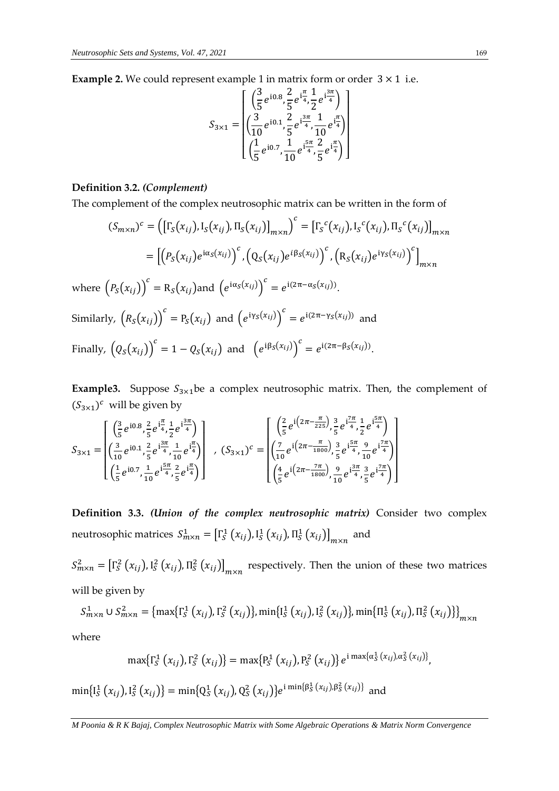**Example 2.** We could represent example 1 in matrix form or order  $3 \times 1$  i.e.

$$
S_{3\times1} = \left[ \begin{array}{c} \left( \frac{3}{5} e^{i0.8}, \frac{2}{5} e^{i\frac{\pi}{4}}, \frac{1}{2} e^{i\frac{3\pi}{4}} \right) \\ \left( \frac{3}{10} e^{i0.1}, \frac{2}{5} e^{i\frac{3\pi}{4}}, \frac{1}{10} e^{i\frac{\pi}{4}} \right) \\ \left( \frac{1}{5} e^{i0.7}, \frac{1}{10} e^{i\frac{5\pi}{4}}, \frac{2}{5} e^{i\frac{\pi}{4}} \right) \end{array} \right]
$$

#### **Definition 3.2.** *(Complement)*

The complement of the complex neutrosophic matrix can be written in the form of

$$
(S_{m \times n})^c = \left( \left[ \Gamma_S(x_{ij}), \Gamma_S(x_{ij}), \Pi_S(x_{ij}) \right]_{m \times n} \right)^c = \left[ \Gamma_S^c(x_{ij}), \Gamma_S^c(x_{ij}), \Pi_S^c(x_{ij}) \right]_{m \times n}
$$

$$
= \left[ \left( P_S(x_{ij}) e^{i\alpha_S(x_{ij})} \right)^c, \left( Q_S(x_{ij}) e^{i\beta_S(x_{ij})} \right)^c, \left( R_S(x_{ij}) e^{i\gamma_S(x_{ij})} \right)^c \right]_{m \times n}
$$
where 
$$
\left( P_S(x_{ij}) \right)^c = R_S(x_{ij})
$$
 and 
$$
\left( e^{i\alpha_S(x_{ij})} \right)^c = e^{i(2\pi - \alpha_S(x_{ij}))}.
$$
Similarly, 
$$
\left( R_S(x_{ij}) \right)^c = P_S(x_{ij})
$$
 and 
$$
\left( e^{i\gamma_S(x_{ij})} \right)^c = e^{i(2\pi - \gamma_S(x_{ij}))}
$$
 and  
Finally, 
$$
\left( Q_S(x_{ij}) \right)^c = 1 - Q_S(x_{ij})
$$
 and 
$$
\left( e^{i\beta_S(x_{ij})} \right)^c = e^{i(2\pi - \beta_S(x_{ij}))}.
$$

**Example3.** Suppose  $S_{3\times 1}$ be a complex neutrosophic matrix. Then, the complement of  $(S_{3\times 1})^c$  will be given by

$$
S_{3\times 1} = \begin{bmatrix} \left(\frac{3}{5}e^{i0.8}, \frac{2}{5}e^{i\frac{\pi}{4}}, \frac{1}{2}e^{i\frac{3\pi}{4}}\right) \\ \left(\frac{3}{10}e^{i0.1}, \frac{2}{5}e^{i\frac{3\pi}{4}}, \frac{1}{10}e^{i\frac{\pi}{4}}\right) \\ \left(\frac{1}{5}e^{i0.7}, \frac{1}{10}e^{i\frac{5\pi}{4}}, \frac{2}{5}e^{i\frac{\pi}{4}}\right) \end{bmatrix}, \quad (S_{3\times 1})^c = \begin{bmatrix} \left(\frac{2}{5}e^{i\left(2\pi - \frac{\pi}{225}\right)}, \frac{3}{5}e^{i\frac{7\pi}{4}}, \frac{1}{2}e^{i\frac{5\pi}{4}}\right) \\ \left(\frac{7}{10}e^{i\left(2\pi - \frac{\pi}{1800}\right)}, \frac{3}{5}e^{i\frac{5\pi}{4}}, \frac{9}{10}e^{i\frac{7\pi}{4}}\right) \\ \left(\frac{4}{5}e^{i\left(2\pi - \frac{7\pi}{1800}\right)}, \frac{9}{10}e^{i\frac{3\pi}{4}}, \frac{3}{5}e^{i\frac{7\pi}{4}}\right) \end{bmatrix}
$$

**Definition 3.3.** *(Union of the complex neutrosophic matrix)* Consider two complex neutrosophic matrices  $S_{m \times n}^1 = \left[ \Gamma_s^1(x_{ij}), I_s^1(x_{ij}), \Pi_s^1(x_{ij}) \right]_{m \times n}$  and

 $S_{m\times n}^2 = \left[ \Gamma_S^2(x_{ij}), \Gamma_S^2(x_{ij}), \Pi_S^2(x_{ij}) \right]_{m\times n}$  respectively. Then the union of these two matrices will be given by

 $S_{m \times n}^{1} \cup S_{m \times n}^{2} = \left\{ \max \left\{ \Gamma_{S}^{1} \left( x_{ij} \right), \Gamma_{S}^{2} \left( x_{ij} \right) \right\}, \min \left\{ l_{S}^{1} \left( x_{ij} \right), l_{S}^{2} \left( x_{ij} \right) \right\}, \min \left\{ \Pi_{S}^{1} \left( x_{ij} \right), \Pi_{S}^{2} \left( x_{ij} \right) \right\} \right\}_{m \times n}$ 

where

$$
\max\{\Gamma_S^1(x_{ij}),\Gamma_S^2(x_{ij})\}=\max\{P_S^1(x_{ij}),P_S^2(x_{ij})\}e^{i\max\{\alpha_S^1(x_{ij}),\alpha_S^2(x_{ij})\}},
$$

 $\min\{I_S^1(x_{ij}), I_S^2(x_{ij})\} = \min\{Q_S^1(x_{ij}), Q_S^2(x_{ij})\}e^{i\min\{\beta_S^1(x_{ij}), \beta_S^2(x_{ij})\}}$  and

*M Poonia & R K Bajaj, Complex Neutrosophic Matrix with Some Algebraic Operations & Matrix Norm Convergence*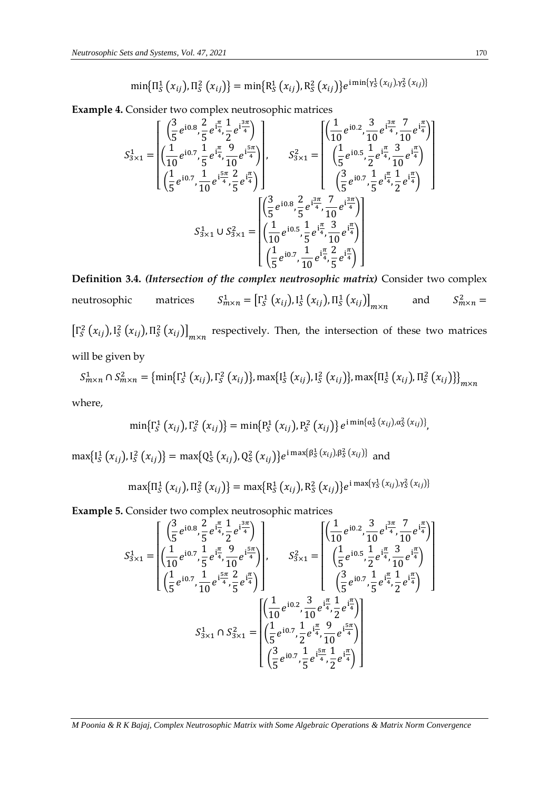$$
\min\{\Pi_{S}^{1}(x_{ij}),\Pi_{S}^{2}(x_{ij})\}=\min\{R_{S}^{1}(x_{ij}),R_{S}^{2}(x_{ij})\}e^{i\min\{\gamma_{S}^{1}(x_{ij}),\gamma_{S}^{2}(x_{ij})\}}
$$

**Example 4.** Consider two complex neutrosophic matrices

$$
S_{3\times 1}^{1} = \begin{bmatrix} \left(\frac{3}{5}e^{i0.8}, \frac{2}{5}e^{i\frac{\pi}{4}}, \frac{1}{2}e^{i\frac{3\pi}{4}}\right) \\ \left(\frac{1}{10}e^{i0.7}, \frac{1}{5}e^{i\frac{\pi}{4}}, \frac{9}{10}e^{i\frac{5\pi}{4}}\right) \\ \left(\frac{1}{5}e^{i0.7}, \frac{1}{10}e^{i\frac{5\pi}{4}}, \frac{2}{5}e^{i\frac{\pi}{4}}\right) \end{bmatrix}, \qquad S_{3\times 1}^{2} = \begin{bmatrix} \left(\frac{1}{10}e^{i0.2}, \frac{3}{10}e^{i\frac{3\pi}{4}}, \frac{7}{10}e^{i\frac{\pi}{4}}\right) \\ \left(\frac{1}{5}e^{i0.5}, \frac{1}{2}e^{i\frac{\pi}{4}}, \frac{3}{10}e^{i\frac{\pi}{4}}\right) \\ \left(\frac{3}{5}e^{i0.7}, \frac{1}{5}e^{i\frac{\pi}{4}}, \frac{2}{2}e^{i\frac{\pi}{4}}\right) \end{bmatrix} \\ S_{3\times 1}^{1} \cup S_{3\times 1}^{2} = \begin{bmatrix} \left(\frac{3}{5}e^{i0.8}, \frac{2}{5}e^{i\frac{3\pi}{4}}, \frac{7}{10}e^{i\frac{3\pi}{4}}\right) \\ \left(\frac{1}{10}e^{i0.5}, \frac{1}{5}e^{i\frac{\pi}{4}}, \frac{3}{10}e^{i\frac{\pi}{4}}\right) \\ \left(\frac{1}{5}e^{i0.7}, \frac{1}{10}e^{i\frac{\pi}{4}}, \frac{2}{5}e^{i\frac{\pi}{4}}\right) \end{bmatrix} \\ \begin{bmatrix} \frac{1}{5}e^{i0.7}, \frac{1}{10}e^{i\frac{\pi}{4}}, \frac{2}{5}e^{i\frac{\pi}{4}} \end{bmatrix}
$$

**Definition 3.4.** *(Intersection of the complex neutrosophic matrix)* Consider two complex neutrosophic matrices  $\prod_{m \times n}^1 = \left[ \Gamma_S^1 \left( x_{ij} \right), \Gamma_S^1 \left( x_{ij} \right), \Pi_S^1 \left( x_{ij} \right) \right]_{m \times n}$ and  $S_{m \times n}^2 =$  $\left[\Gamma_s^2(x_{ij}), \Gamma_s^2(x_{ij}), \Pi_s^2(x_{ij})\right]_{m \times n}$  respectively. Then, the intersection of these two matrices

will be given by

 $S_{m \times n}^1 \cap S_{m \times n}^2 = \{\min\{\Gamma_S^1(\chi_{ij}),\Gamma_S^2(\chi_{ij})\},\max\{I_S^1(\chi_{ij}),I_S^2(\chi_{ij})\},\max\{\Pi_S^1(\chi_{ij}),\Pi_S^2(\chi_{ij})\}\}_{m \times n}$ where,

 $\min\{\Gamma_{\!S}^1\left(x_{ij}\right),\Gamma_{\!S}^2\left(x_{ij}\right)\}=\min\{\text{P}_{\!S}^1\left(x_{ij}\right),\text{P}_{\!S}^2\left(x_{ij}\right)\}e^{\text{i}\min\{\alpha_{\!S}^1\left(x_{ij}\right),\alpha_{\!S}^2\left(x_{ij}\right)\}},$ 

 $\max\{I_S^1(x_{ij}), I_S^2(x_{ij})\} = \max\{Q_S^1(x_{ij}), Q_S^2(x_{ij})\}e^{i \max\{\beta_S^1(x_{ij}), \beta_S^2(x_{ij})\}}$  and

 $\max\{\Pi_S^1(x_{ij}),\Pi_S^2(x_{ij})\} = \max\{R_S^1(x_{ij}),R_S^2(x_{ij})\}e^{\mathrm{i}\max\{\gamma_S^1(x_{ij}),\gamma_S^2(x_{ij})\}}$ 

**Example 5.** Consider two complex neutrosophic matrices

$$
S_{3\times 1}^{1} = \begin{bmatrix} \left(\frac{3}{5}e^{i0.8}, \frac{2}{5}e^{i\frac{\pi}{4}}, \frac{1}{2}e^{i\frac{3\pi}{4}}\right) \\ \left(\frac{1}{10}e^{i0.7}, \frac{1}{5}e^{i\frac{\pi}{4}}, \frac{9}{10}e^{i\frac{5\pi}{4}}\right) \\ \left(\frac{1}{5}e^{i0.7}, \frac{1}{10}e^{i\frac{5\pi}{4}}, \frac{2}{5}e^{i\frac{\pi}{4}}\right) \end{bmatrix}, \qquad S_{3\times 1}^{2} = \begin{bmatrix} \left(\frac{1}{10}e^{i0.2}, \frac{3}{10}e^{i\frac{3\pi}{4}}, \frac{7}{10}e^{i\frac{\pi}{4}}\right) \\ \left(\frac{1}{5}e^{i0.5}, \frac{1}{2}e^{i\frac{\pi}{4}}, \frac{3}{10}e^{i\frac{\pi}{4}}\right) \\ \left(\frac{3}{5}e^{i0.7}, \frac{1}{5}e^{i\frac{\pi}{4}}, \frac{2}{2}e^{i\frac{\pi}{4}}\right) \end{bmatrix} \\ S_{3\times 1}^{1} \cap S_{3\times 1}^{2} = \begin{bmatrix} \left(\frac{1}{10}e^{i0.2}, \frac{3}{10}e^{i\frac{\pi}{4}}, \frac{1}{2}e^{i\frac{\pi}{4}}\right) \\ \left(\frac{1}{5}e^{i0.7}, \frac{1}{10}e^{i\frac{\pi}{4}}, \frac{9}{10}e^{i\frac{5\pi}{4}}\right) \\ \left(\frac{3}{5}e^{i0.7}, \frac{1}{5}e^{i\frac{\pi}{4}}, \frac{1}{2}e^{i\frac{\pi}{4}}\right) \end{bmatrix}
$$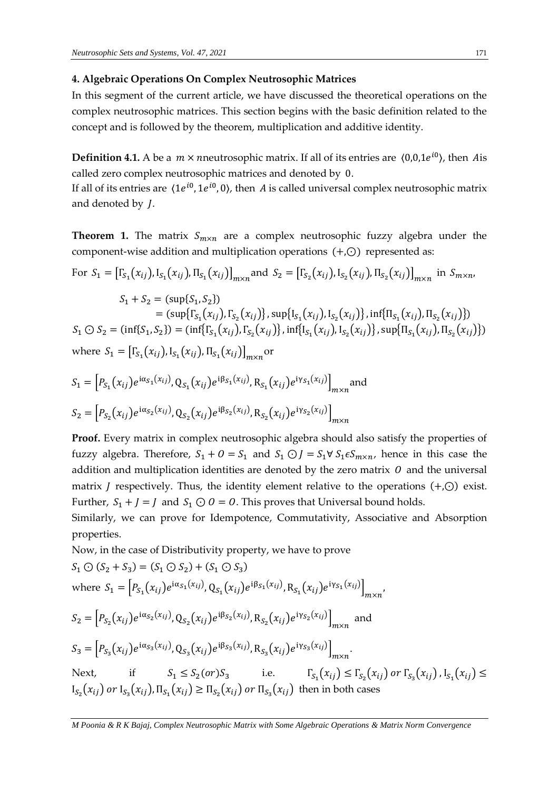#### **4. Algebraic Operations On Complex Neutrosophic Matrices**

In this segment of the current article, we have discussed the theoretical operations on the complex neutrosophic matrices. This section begins with the basic definition related to the concept and is followed by the theorem, multiplication and additive identity.

**Definition 4.1.** A be a  $m \times n$ neutrosophic matrix. If all of its entries are  $(0,0,1e^{i0})$ , then Ais called zero complex neutrosophic matrices and denoted by 0.

If all of its entries are  $\langle 1e^{i0}, 1e^{i0}, 0 \rangle$ , then A is called universal complex neutrosophic matrix and denoted by *J*.

**Theorem 1.** The matrix  $S_{m \times n}$  are a complex neutrosophic fuzzy algebra under the component-wise addition and multiplication operations (+,⊙) represented as:

For 
$$
S_1 = [\Gamma_{S_1}(x_{ij}), \Gamma_{S_1}(x_{ij}), \Pi_{S_1}(x_{ij})]_{m \times n}
$$
 and  $S_2 = [\Gamma_{S_2}(x_{ij}), \Gamma_{S_2}(x_{ij}), \Pi_{S_2}(x_{ij})]_{m \times n}$  in  $S_{m \times n}$ 

 $S_1 + S_2 = (sup{S_1, S_2})$ =  $(\sup\{\Gamma_{S_1}(x_{ij}), \Gamma_{S_2}(x_{ij})\}, \sup\{\text{I}_{S_1}(x_{ij}), \text{I}_{S_2}(x_{ij})\}, \inf\{\Pi_{S_1}(x_{ij}), \Pi_{S_2}(x_{ij})\})$  $S_1 \bigcirc S_2 = (\inf\{S_1, S_2\}) = (\inf\{\Gamma_{S_1}(x_{ij}), \Gamma_{S_2}(x_{ij})\}, \inf\{\text{I}_{S_1}(x_{ij}), \text{I}_{S_2}(x_{ij})\}, \sup\{\Pi_{S_1}(x_{ij}), \Pi_{S_2}(x_{ij})\})$ where  $S_1 = [\Gamma_{S_1}(x_{ij}), \Gamma_{S_1}(x_{ij}), \Pi_{S_1}(x_{ij})]_{m \times n}$  or

$$
S_1 = [P_{S_1}(x_{ij})e^{i\alpha_{S_1}(x_{ij})}, Q_{S_1}(x_{ij})e^{i\beta_{S_1}(x_{ij})}, R_{S_1}(x_{ij})e^{i\gamma_{S_1}(x_{ij})}]_{m \times n}
$$
 and  

$$
S_2 = [P_{S_2}(x_{ij})e^{i\alpha_{S_2}(x_{ij})}, Q_{S_2}(x_{ij})e^{i\beta_{S_2}(x_{ij})}, R_{S_2}(x_{ij})e^{i\gamma_{S_2}(x_{ij})}]_{m \times n}
$$

**Proof.** Every matrix in complex neutrosophic algebra should also satisfy the properties of fuzzy algebra. Therefore,  $S_1 + 0 = S_1$  and  $S_1 \odot J = S_1 \forall S_1 \in S_{m \times n}$ , hence in this case the addition and multiplication identities are denoted by the zero matrix  $O$  and the universal matrix *J* respectively. Thus, the identity element relative to the operations  $(+, \odot)$  exist. Further,  $S_1 + J = J$  and  $S_1 \odot O = O$ . This proves that Universal bound holds.

Similarly, we can prove for Idempotence, Commutativity, Associative and Absorption properties.

Now, in the case of Distributivity property, we have to prove

$$
S_{1} \bigodot (S_{2} + S_{3}) = (S_{1} \bigodot S_{2}) + (S_{1} \bigodot S_{3})
$$
  
\nwhere 
$$
S_{1} = \left[ P_{S_{1}}(x_{ij})e^{i\alpha_{S_{1}}(x_{ij})}, Q_{S_{1}}(x_{ij})e^{i\beta_{S_{1}}(x_{ij})}, R_{S_{1}}(x_{ij})e^{i\gamma_{S_{1}}(x_{ij})} \right]_{m \times n},
$$
  
\n
$$
S_{2} = \left[ P_{S_{2}}(x_{ij})e^{i\alpha_{S_{2}}(x_{ij})}, Q_{S_{2}}(x_{ij})e^{i\beta_{S_{2}}(x_{ij})}, R_{S_{2}}(x_{ij})e^{i\gamma_{S_{2}}(x_{ij})} \right]_{m \times n}
$$
 and  
\n
$$
S_{3} = \left[ P_{S_{3}}(x_{ij})e^{i\alpha_{S_{3}}(x_{ij})}, Q_{S_{3}}(x_{ij})e^{i\beta_{S_{3}}(x_{ij})}, R_{S_{3}}(x_{ij})e^{i\gamma_{S_{3}}(x_{ij})} \right]_{m \times n}.
$$
  
\nNext, if 
$$
S_{1} \leq S_{2}(or)S_{3}
$$
 i.e. 
$$
\Gamma_{S_{1}}(x_{ij}) \leq \Gamma_{S_{2}}(x_{ij}) or \Gamma_{S_{3}}(x_{ij}), \Gamma_{S_{1}}(x_{ij}) \geq \Gamma_{S_{2}}(x_{ij}) or \Gamma_{S_{3}}(x_{ij})
$$
,  $\Gamma_{S_{1}}(x_{ij}) \leq \Gamma_{S_{2}}(x_{ij}) or \Gamma_{S_{3}}(x_{ij})$ ,  $\Gamma_{S_{1}}(x_{ij}) \leq \Gamma_{S_{2}}(x_{ij})$  then in both cases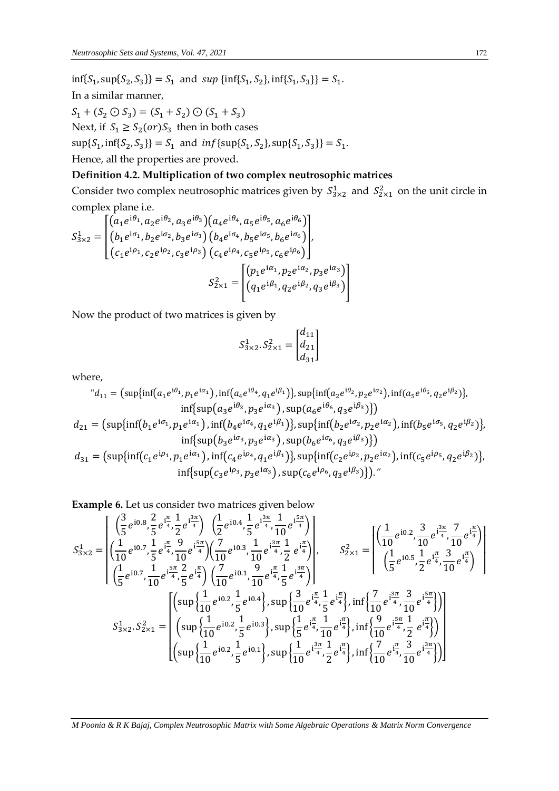$\inf\{S_1, \sup\{S_2, S_3\}\} = S_1$  and  $\sup\{\inf\{S_1, S_2\}, \inf\{S_1, S_3\}\} = S_1$ . In a similar manner,  $S_1 + (S_2 \odot S_3) = (S_1 + S_2) \odot (S_1 + S_3)$ Next, if  $S_1 \geq S_2(\text{or})S_3$  then in both cases  $\sup\{S_1, \inf\{S_2, S_3\}\} = S_1$  and  $inf\{\sup\{S_1, S_2\}, \sup\{S_1, S_3\}\} = S_1$ . Hence, all the properties are proved.

#### **Definition 4.2. Multiplication of two complex neutrosophic matrices**

Consider two complex neutrosophic matrices given by  $S_{3\times 2}^1$  and  $S_{2\times 1}^2$  on the unit circle in complex plane i.e.

$$
S_{3\times 2}^{1} = \begin{bmatrix} \left( a_{1}e^{i\theta_{1}}, a_{2}e^{i\theta_{2}}, a_{3}e^{i\theta_{3}} \right) \left( a_{4}e^{i\theta_{4}}, a_{5}e^{i\theta_{5}}, a_{6}e^{i\theta_{6}} \right) \\ \left( b_{1}e^{i\sigma_{1}}, b_{2}e^{i\sigma_{2}}, b_{3}e^{i\sigma_{3}} \right) \left( b_{4}e^{i\sigma_{4}}, b_{5}e^{i\sigma_{5}}, b_{6}e^{i\sigma_{6}} \right) \\ \left( c_{1}e^{i\rho_{1}}, c_{2}e^{i\rho_{2}}, c_{3}e^{i\rho_{3}} \right) \left( c_{4}e^{i\rho_{4}}, c_{5}e^{i\rho_{5}}, c_{6}e^{i\rho_{6}} \right) \end{bmatrix},
$$

$$
S_{2\times 1}^{2} = \begin{bmatrix} \left( p_{1}e^{i\alpha_{1}}, p_{2}e^{i\alpha_{2}}, p_{3}e^{i\alpha_{3}} \right) \\ \left( q_{1}e^{i\beta_{1}}, q_{2}e^{i\beta_{2}}, q_{3}e^{i\beta_{3}} \right) \end{bmatrix}
$$

Now the product of two matrices is given by

$$
S_{3\times 2}^1 \cdot S_{2\times 1}^2 = \begin{bmatrix} d_{11} \\ d_{21} \\ d_{31} \end{bmatrix}
$$

where,

$$
d_{11} = (\sup\{\inf(a_1e^{i\theta_1}, p_1e^{i\alpha_1}), \inf(a_4e^{i\theta_4}, q_1e^{i\beta_1})\}, \sup\{\inf(a_2e^{i\theta_2}, p_2e^{i\alpha_2}), \inf(a_5e^{i\theta_5}, q_2e^{i\beta_2})\},\
$$
  
\n
$$
d_{21} = (\sup\{\inf(b_1e^{i\sigma_1}, p_1e^{i\alpha_1}), \inf(b_4e^{i\sigma_4}, q_1e^{i\beta_1})\}, \sup(a_6e^{i\theta_6}, q_3e^{i\beta_3})\})
$$
  
\n
$$
d_{31} = (\sup\{\inf(b_1e^{i\sigma_1}, p_1e^{i\alpha_1}), \inf(b_4e^{i\sigma_4}, q_1e^{i\beta_1})\}, \sup(b_6e^{i\sigma_6}, q_3e^{i\beta_3})\})
$$
  
\n
$$
d_{31} = (\sup\{\inf(c_1e^{i\rho_1}, p_1e^{i\alpha_1}), \inf(c_4e^{i\rho_4}, q_1e^{i\beta_1})\}, \sup(b_6e^{i\sigma_6}, q_3e^{i\beta_3})\})
$$
  
\n
$$
\inf\{\sup(c_3e^{i\rho_3}, p_3e^{i\alpha_3}), \sup(c_6e^{i\rho_6}, q_3e^{i\beta_3})\})
$$
  
\n
$$
\inf\{\sup(c_3e^{i\rho_3}, p_3e^{i\alpha_3}), \sup(c_6e^{i\rho_6}, q_3e^{i\beta_3})\})
$$

**Example 6.** Let us consider two matrices given below

$$
S_{3\times 2}^{1} = \begin{bmatrix} \left(\frac{3}{5}e^{i0.8}, \frac{2}{5}e^{i\frac{\pi}{4}}, \frac{1}{2}e^{i\frac{3\pi}{4}}\right) & \left(\frac{1}{2}e^{i0.4}, \frac{1}{5}e^{i\frac{3\pi}{4}}, \frac{1}{10}e^{i\frac{5\pi}{4}}\right) \\ \left(\frac{1}{10}e^{i0.7}, \frac{1}{5}e^{i\frac{\pi}{4}}, \frac{9}{10}e^{i\frac{5\pi}{4}}\right) & \left(\frac{7}{10}e^{i0.3}, \frac{1}{10}e^{i\frac{3\pi}{4}}, \frac{1}{2}e^{i\frac{\pi}{4}}\right) \\ \left(\frac{1}{5}e^{i0.7}, \frac{1}{10}e^{i\frac{5\pi}{4}}, \frac{2}{5}e^{i\frac{\pi}{4}}\right) & \left(\frac{7}{10}e^{i0.1}, \frac{9}{10}e^{i\frac{\pi}{4}}, \frac{1}{5}e^{i\frac{3\pi}{4}}\right) \\ \left(\frac{1}{5}e^{i0.5}, \frac{1}{2}e^{i\frac{\pi}{4}}, \frac{3}{10}e^{i\frac{\pi}{4}}\right) \\ S_{3\times 2}^{1} \cdot S_{2\times 1}^{2} = \begin{bmatrix} \left(\sup\left\{\frac{1}{10}e^{i0.2}, \frac{1}{10}e^{i0.4}, \frac{9}{10}e^{i\frac{\pi}{4}}, \frac{1}{5}e^{i\frac{3\pi}{4}}\right\}\right) & \left(\frac{1}{10}e^{i0.5}, \frac{1}{2}e^{i\frac{\pi}{4}}, \frac{3}{10}e^{i\frac{\pi}{4}}\right) \\ \left(\sup\left\{\frac{1}{10}e^{i0.2}, \frac{1}{5}e^{i0.4}\right\}\right) & \sup\left\{\frac{3}{10}e^{i\frac{\pi}{4}}, \frac{1}{5}e^{i\frac{\pi}{4}}\right\}\right) & \inf\left\{\frac{7}{10}e^{i\frac{3\pi}{4}}, \frac{3}{10}e^{i\frac{5\pi}{4}}\right\} \end{bmatrix} \right\}
$$

$$
S_{3\times 2}^{2} \cdot S_{2\t
$$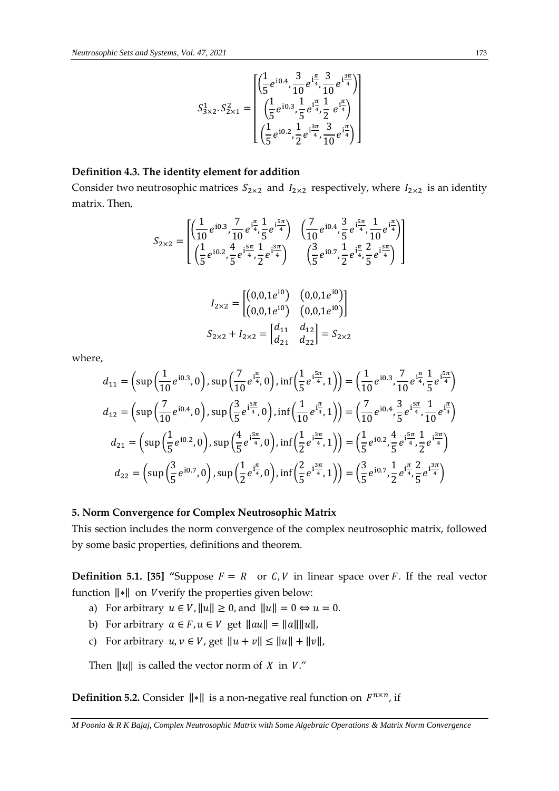$$
S_{3\times 2}^1 \cdot S_{2\times 1}^2 = \begin{bmatrix} \left(\frac{1}{5}e^{i0.4}, \frac{3}{10}e^{i\frac{\pi}{4}}, \frac{3}{10}e^{i\frac{3\pi}{4}}\right) \\ \left(\frac{1}{5}e^{i0.3}, \frac{1}{5}e^{i\frac{\pi}{4}}, \frac{1}{2}e^{i\frac{\pi}{4}}\right) \\ \left(\frac{1}{5}e^{i0.2}, \frac{1}{2}e^{i\frac{3\pi}{4}}, \frac{3}{10}e^{i\frac{\pi}{4}}\right) \end{bmatrix}
$$

### **Definition 4.3. The identity element for addition**

Consider two neutrosophic matrices  $S_{2\times 2}$  and  $I_{2\times 2}$  respectively, where  $I_{2\times 2}$  is an identity matrix. Then,

$$
S_{2\times 2} = \begin{bmatrix} \left(\frac{1}{10}e^{i0.3}, \frac{7}{10}e^{i\frac{\pi}{4}}, \frac{1}{5}e^{i\frac{5\pi}{4}}\right) & \left(\frac{7}{10}e^{i0.4}, \frac{3}{5}e^{i\frac{5\pi}{4}}, \frac{1}{10}e^{i\frac{\pi}{4}}\right) \\ \left(\frac{1}{5}e^{i0.2}, \frac{4}{5}e^{i\frac{5\pi}{4}}, \frac{1}{2}e^{i\frac{3\pi}{4}}\right) & \left(\frac{3}{5}e^{i0.7}, \frac{1}{2}e^{i\frac{\pi}{4}}, \frac{2}{5}e^{i\frac{3\pi}{4}}\right) \end{bmatrix}
$$

$$
I_{2\times 2} = \begin{bmatrix} (0,0,1e^{i0}) & (0,0,1e^{i0}) \\ (0,0,1e^{i0}) & (0,0,1e^{i0}) \end{bmatrix}
$$

$$
S_{2\times 2} + I_{2\times 2} = \begin{bmatrix} d_{11} & d_{12} \\ d_{21} & d_{22} \end{bmatrix} = S_{2\times 2}
$$

where,

$$
d_{11} = \left(\sup\left(\frac{1}{10}e^{i0.3},0\right),\sup\left(\frac{7}{10}e^{i\frac{\pi}{4}},0\right),\inf\left(\frac{1}{5}e^{i\frac{5\pi}{4}},1\right)\right) = \left(\frac{1}{10}e^{i0.3},\frac{7}{10}e^{i\frac{\pi}{4}},\frac{1}{5}e^{i\frac{5\pi}{4}}\right)
$$
  
\n
$$
d_{12} = \left(\sup\left(\frac{7}{10}e^{i0.4},0\right),\sup\left(\frac{3}{5}e^{i\frac{5\pi}{4}},0\right),\inf\left(\frac{1}{10}e^{i\frac{\pi}{4}},1\right)\right) = \left(\frac{7}{10}e^{i0.4},\frac{3}{5}e^{i\frac{5\pi}{4}},\frac{1}{10}e^{i\frac{\pi}{4}}\right)
$$
  
\n
$$
d_{21} = \left(\sup\left(\frac{1}{5}e^{i0.2},0\right),\sup\left(\frac{4}{5}e^{i\frac{5\pi}{4}},0\right),\inf\left(\frac{1}{2}e^{i\frac{3\pi}{4}},1\right)\right) = \left(\frac{1}{5}e^{i0.2},\frac{4}{5}e^{i\frac{5\pi}{4}},\frac{1}{2}e^{i\frac{3\pi}{4}}\right)
$$
  
\n
$$
d_{22} = \left(\sup\left(\frac{3}{5}e^{i0.7},0\right),\sup\left(\frac{1}{2}e^{i\frac{\pi}{4}},0\right),\inf\left(\frac{2}{5}e^{i\frac{3\pi}{4}},1\right)\right) = \left(\frac{3}{5}e^{i0.7},\frac{1}{2}e^{i\frac{\pi}{4}},\frac{2}{5}e^{i\frac{3\pi}{4}}\right)
$$

#### **5. Norm Convergence for Complex Neutrosophic Matrix**

This section includes the norm convergence of the complex neutrosophic matrix, followed by some basic properties, definitions and theorem.

**Definition 5.1. [35] "Suppose**  $F = R$  **or C, V in linear space over F. If the real vector** function ‖∗‖ on verify the properties given below:

- a) For arbitrary  $u \in V$ ,  $||u|| \ge 0$ , and  $||u|| = 0 \Leftrightarrow u = 0$ .
- b) For arbitrary  $a \in F$ ,  $u \in V$  get  $\|au\| = \|a\| \|u\|$ ,
- c) For arbitrary  $u, v \in V$ , get  $||u + v|| \le ||u|| + ||v||$ ,

Then  $\|u\|$  is called the vector norm of *X* in *V*."

**Definition 5.2.** Consider  $\|\cdot\|$  is a non-negative real function on  $F^{n\times n}$ , if

*M Poonia & R K Bajaj, Complex Neutrosophic Matrix with Some Algebraic Operations & Matrix Norm Convergence*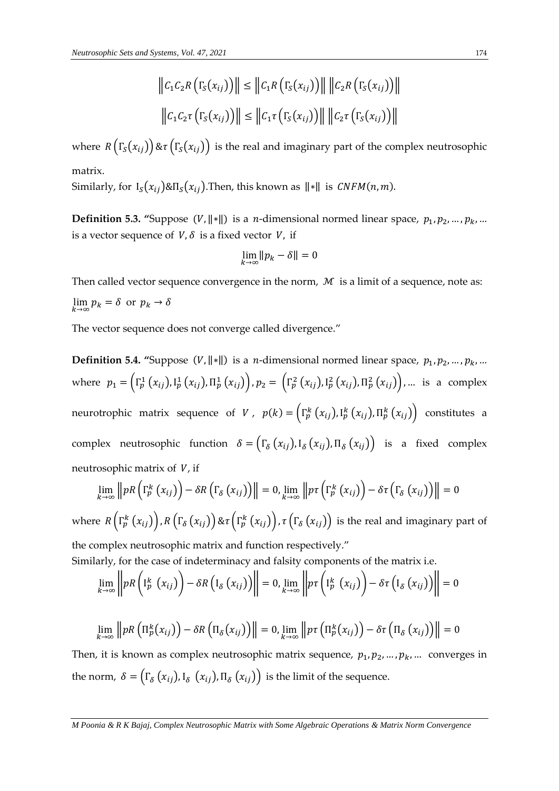$$
\|C_1C_2R(\Gamma_S(x_{ij}))\| \le \|C_1R(\Gamma_S(x_{ij}))\| \|C_2R(\Gamma_S(x_{ij}))\|
$$
  

$$
\|C_1C_2\tau(\Gamma_S(x_{ij}))\| \le \|C_1\tau(\Gamma_S(x_{ij}))\| \|C_2\tau(\Gamma_S(x_{ij}))\|
$$

where  $R(\Gamma_s(x_{ij})) \& \tau(\Gamma_s(x_{ij}))$  is the real and imaginary part of the complex neutrosophic matrix.

Similarly, for  $I_S(x_{ij}) \& \Pi_S(x_{ij})$ . Then, this known as  $\|\cdot\|$  is  $\mathit{CNFM}(n, m)$ .

**Definition 5.3. "Suppose**  $(V, ||*||)$  **is a** *n***-dimensional normed linear space,**  $p_1, p_2, ..., p_k, ...$ is a vector sequence of  $V$ ,  $\delta$  is a fixed vector  $V$ , if

$$
\lim_{k\to\infty}||p_k-\delta||=0
$$

Then called vector sequence convergence in the norm,  $M$  is a limit of a sequence, note as:  $\lim_{k \to \infty} p_k = \delta$  or  $p_k \to \delta$ 

The vector sequence does not converge called divergence."

**Definition 5.4. "Suppose**  $(V, ||*||)$  **is a** *n***-dimensional normed linear space,**  $p_1, p_2, ..., p_k, ...$ where  $p_1 = \left(\Gamma_p^1(x_{ij}), \Gamma_p^1(x_{ij}), \Pi_p^1(x_{ij})\right), p_2 = \left(\Gamma_p^2(x_{ij}), \Gamma_p^2(x_{ij}), \Pi_p^2(x_{ij})\right), ...$  is a complex neurotrophic matrix sequence of *V*,  $p(k) = (\Gamma_p^k(x_{ij}), I_p^k(x_{ij}), \Pi_p^k(x_{ij}))$  constitutes a complex neutrosophic function  $\delta = (\Gamma_{\delta}(x_{ij}), \mathbf{I}_{\delta}(x_{ij}), \Pi_{\delta}(x_{ij}))$  is a fixed complex neutrosophic matrix of  $V$ , if

$$
\lim_{k\to\infty} \left\|pR\left(\Gamma_p^k\left(x_{ij}\right)\right)-\delta R\left(\Gamma_\delta\left(x_{ij}\right)\right)\right\|=0, \lim_{k\to\infty} \left\|p\tau\left(\Gamma_p^k\left(x_{ij}\right)\right)-\delta \tau\left(\Gamma_\delta\left(x_{ij}\right)\right)\right\|=0
$$

where  $R\left(\Gamma_{p}^{k}\left(x_{ij}\right)\right)$ ,  $R\left(\Gamma_{\delta}\left(x_{ij}\right)\right)$   $\&\tau\left(\Gamma_{p}^{k}\left(x_{ij}\right)\right)$ ,  $\tau\left(\Gamma_{\delta}\left(x_{ij}\right)\right)$  is the real and imaginary part of the complex neutrosophic matrix and function respectively."

Similarly, for the case of indeterminacy and falsity components of the matrix i.e.

$$
\lim_{k\to\infty}\left\|pR\left(I_p^k\left(x_{ij}\right)\right)-\delta R\left(I_{\delta}\left(x_{ij}\right)\right)\right\|=0,\lim_{k\to\infty}\left\|p\tau\left(I_p^k\left(x_{ij}\right)\right)-\delta\tau\left(I_{\delta}\left(x_{ij}\right)\right)\right\|=0
$$

$$
\lim_{k\to\infty} ||pR\left(\Pi_p^k(x_{ij})\right) - \delta R\left(\Pi_{\delta}(x_{ij})\right)|| = 0, \lim_{k\to\infty} ||p\tau\left(\Pi_p^k(x_{ij})\right) - \delta \tau\left(\Pi_{\delta}\left(x_{ij}\right)\right)|| = 0
$$

Then, it is known as complex neutrosophic matrix sequence,  $p_1, p_2, ..., p_k, ...$  converges in the norm,  $\delta = (\Gamma_{\delta}\left(x_{ij}\right)$ , I $_{\delta}\left(x_{ij}\right)$ , II $_{\delta}\left(x_{ij}\right)$ ) is the limit of the sequence.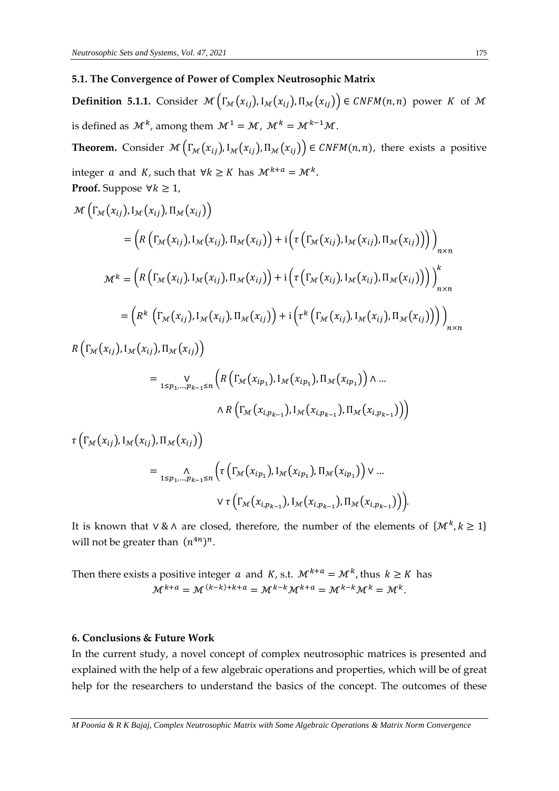#### **5.1. The Convergence of Power of Complex Neutrosophic Matrix**

**Definition 5.1.1.** Consider  $\mathcal{M}\left(\Gamma_{\mathcal{M}}(x_{ij}), \Pi_{\mathcal{M}}(x_{ij}), \Pi_{\mathcal{M}}(x_{ij})\right) \in \mathcal{CNFM}(n, n)$  power K of M is defined as  $\mathcal{M}^k$ , among them  $\mathcal{M}^1 = \mathcal{M}$ ,  $\mathcal{M}^k = \mathcal{M}^{k-1}\mathcal{M}$ .

**Theorem.** Consider  $\mathcal{M}\left(\Gamma_{\mathcal{M}}(x_{ij}), \Pi_{\mathcal{M}}(x_{ij}), \Pi_{\mathcal{M}}(x_{ij})\right) \in \mathit{CNFM}(n, n)$ , there exists a positive integer *a* and *K*, such that  $\forall k \geq K$  has  $\mathcal{M}^{k+a} = \mathcal{M}^k$ . **Proof.** Suppose  $\forall k \geq 1$ ,

$$
\mathcal{M}\left(\Gamma_{\mathcal{M}}(x_{ij}),\Pi_{\mathcal{M}}(x_{ij}),\Pi_{\mathcal{M}}(x_{ij})\right)
$$
\n
$$
= \left(R\left(\Gamma_{\mathcal{M}}(x_{ij}),\Pi_{\mathcal{M}}(x_{ij}),\Pi_{\mathcal{M}}(x_{ij})\right)+i\left(\tau\left(\Gamma_{\mathcal{M}}(x_{ij}),\Pi_{\mathcal{M}}(x_{ij}),\Pi_{\mathcal{M}}(x_{ij})\right)\right)\right)_{n\times n}
$$
\n
$$
\mathcal{M}^{k} = \left(R\left(\Gamma_{\mathcal{M}}(x_{ij}),\Pi_{\mathcal{M}}(x_{ij}),\Pi_{\mathcal{M}}(x_{ij})\right)+i\left(\tau\left(\Gamma_{\mathcal{M}}(x_{ij}),\Pi_{\mathcal{M}}(x_{ij}),\Pi_{\mathcal{M}}(x_{ij})\right)\right)\right)_{n\times n}^{k}
$$
\n
$$
= \left(R^{k}\left(\Gamma_{\mathcal{M}}(x_{ij}),\Pi_{\mathcal{M}}(x_{ij}),\Pi_{\mathcal{M}}(x_{ij})\right)+i\left(\tau^{k}\left(\Gamma_{\mathcal{M}}(x_{ij}),\Pi_{\mathcal{M}}(x_{ij}),\Pi_{\mathcal{M}}(x_{ij})\right)\right)\right)_{n\times n}^{k}
$$
\n
$$
R\left(\Gamma_{\mathcal{M}}(x_{ij}),\Pi_{\mathcal{M}}(x_{ij}),\Pi_{\mathcal{M}}(x_{ij})\right)
$$

$$
= \bigvee_{1 \leq p_1, \dots, p_{k-1} \leq n} \left( R\left(\Gamma_{\mathcal{M}}(x_{ip_1}), \mathbb{I}_{\mathcal{M}}(x_{ip_1}), \Pi_{\mathcal{M}}(x_{ip_1})\right) \wedge \dots \right)
$$

$$
\wedge R\left(\Gamma_{\mathcal{M}}(x_{i,p_{k-1}}), \mathbb{I}_{\mathcal{M}}(x_{i,p_{k-1}}), \Pi_{\mathcal{M}}(x_{i,p_{k-1}})\right)\right)
$$

$$
\tau\left(\Gamma_{\mathcal{M}}(x_{ij}), \mathrm{I}_{\mathcal{M}}(x_{ij}), \Pi_{\mathcal{M}}(x_{ij})\right)
$$
\n
$$
= \underset{1 \leq p_1, \dots, p_{k-1} \leq n}{\wedge} \left(\tau\left(\Gamma_{\mathcal{M}}(x_{ip_1}), \mathrm{I}_{\mathcal{M}}(x_{ip_1}), \Pi_{\mathcal{M}}(x_{ip_1})\right) \vee \dots
$$
\n
$$
\vee \tau\left(\Gamma_{\mathcal{M}}(x_{ip_{k-1}}), \mathrm{I}_{\mathcal{M}}(x_{ip_{k-1}}), \Pi_{\mathcal{M}}(x_{ip_{k-1}})\right)\right).
$$

It is known that  $\vee \& \wedge$  are closed, therefore, the number of the elements of  $\{M^k, k \geq 1\}$ will not be greater than  $(n^{4n})^n$ .

Then there exists a positive integer  $a$  and  $K$ , s.t.  $\mathcal{M}^{k+a} = \mathcal{M}^k$ , thus  $k \geq K$  has  $\mathcal{M}^{k+a} = \mathcal{M}^{(k-k)+k+a} = \mathcal{M}^{k-k} \mathcal{M}^{k+a} = \mathcal{M}^{k-k} \mathcal{M}^k = \mathcal{M}^k.$ 

#### **6. Conclusions & Future Work**

In the current study, a novel concept of complex neutrosophic matrices is presented and explained with the help of a few algebraic operations and properties, which will be of great help for the researchers to understand the basics of the concept. The outcomes of these

*M Poonia & R K Bajaj, Complex Neutrosophic Matrix with Some Algebraic Operations & Matrix Norm Convergence*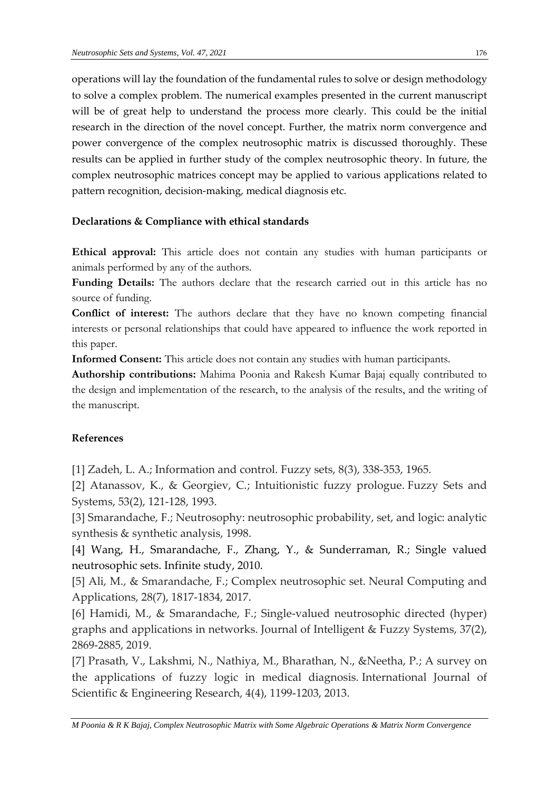operations will lay the foundation of the fundamental rules to solve or design methodology to solve a complex problem. The numerical examples presented in the current manuscript will be of great help to understand the process more clearly. This could be the initial research in the direction of the novel concept. Further, the matrix norm convergence and power convergence of the complex neutrosophic matrix is discussed thoroughly. These results can be applied in further study of the complex neutrosophic theory. In future, the complex neutrosophic matrices concept may be applied to various applications related to pattern recognition, decision-making, medical diagnosis etc.

## **Declarations & Compliance with ethical standards**

**Ethical approval:** This article does not contain any studies with human participants or animals performed by any of the authors.

**Funding Details:** The authors declare that the research carried out in this article has no source of funding.

**Conflict of interest:** The authors declare that they have no known competing financial interests or personal relationships that could have appeared to influence the work reported in this paper.

**Informed Consent:** This article does not contain any studies with human participants.

**Authorship contributions:** Mahima Poonia and Rakesh Kumar Bajaj equally contributed to the design and implementation of the research, to the analysis of the results, and the writing of the manuscript.

## **References**

[1] Zadeh, L. A.; Information and control. Fuzzy sets, 8(3), 338-353, 1965.

[2] Atanassov, K., & Georgiev, C.; Intuitionistic fuzzy prologue. Fuzzy Sets and Systems, 53(2), 121-128, 1993.

[3] Smarandache, F.; Neutrosophy: neutrosophic probability, set, and logic: analytic synthesis & synthetic analysis, 1998.

[4] Wang, H., Smarandache, F., Zhang, Y., & Sunderraman, R.; Single valued neutrosophic sets. Infinite study, 2010.

[5] Ali, M., & Smarandache, F.; Complex neutrosophic set. Neural Computing and Applications, 28(7), 1817-1834, 2017.

[6] Hamidi, M., & Smarandache, F.; Single-valued neutrosophic directed (hyper) graphs and applications in networks. Journal of Intelligent & Fuzzy Systems, 37(2), 2869-2885, 2019.

[7] Prasath, V., Lakshmi, N., Nathiya, M., Bharathan, N., &Neetha, P.; A survey on the applications of fuzzy logic in medical diagnosis. International Journal of Scientific & Engineering Research, 4(4), 1199-1203, 2013.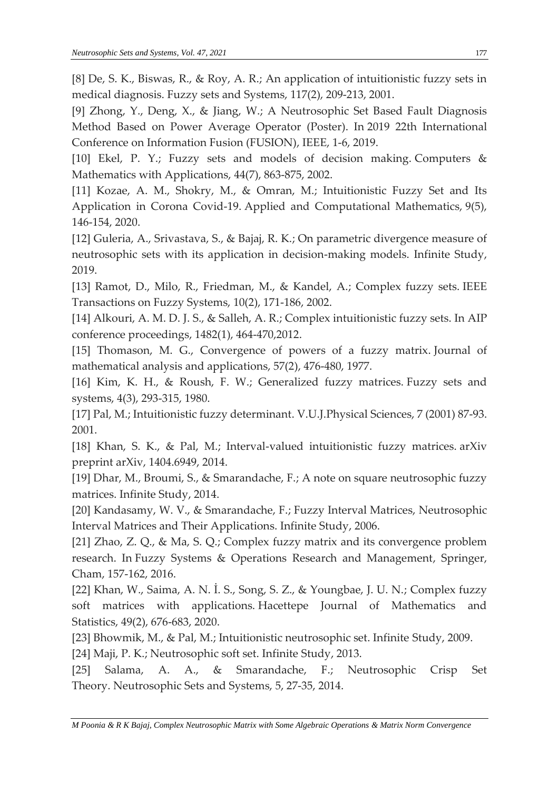[8] De, S. K., Biswas, R., & Roy, A. R.; An application of intuitionistic fuzzy sets in medical diagnosis. Fuzzy sets and Systems, 117(2), 209-213, 2001.

[9] Zhong, Y., Deng, X., & Jiang, W.; A Neutrosophic Set Based Fault Diagnosis Method Based on Power Average Operator (Poster). In 2019 22th International Conference on Information Fusion (FUSION), IEEE, 1-6, 2019.

[10] Ekel, P. Y.; Fuzzy sets and models of decision making. Computers & Mathematics with Applications, 44(7), 863-875, 2002.

[11] Kozae, A. M., Shokry, M., & Omran, M.; Intuitionistic Fuzzy Set and Its Application in Corona Covid-19. Applied and Computational Mathematics, 9(5), 146-154, 2020.

[12] Guleria, A., Srivastava, S., & Bajaj, R. K.; On parametric divergence measure of neutrosophic sets with its application in decision-making models. Infinite Study, 2019.

[13] Ramot, D., Milo, R., Friedman, M., & Kandel, A.; Complex fuzzy sets. IEEE Transactions on Fuzzy Systems, 10(2), 171-186, 2002.

[14] Alkouri, A. M. D. J. S., & Salleh, A. R.; Complex intuitionistic fuzzy sets. In AIP conference proceedings, 1482(1), 464-470,2012.

[15] Thomason, M. G., Convergence of powers of a fuzzy matrix. Journal of mathematical analysis and applications, 57(2), 476-480, 1977.

[16] Kim, K. H., & Roush, F. W.; Generalized fuzzy matrices. Fuzzy sets and systems, 4(3), 293-315, 1980.

[17] Pal, M.; Intuitionistic fuzzy determinant. V.U.J.Physical Sciences, 7 (2001) 87-93. 2001.

[18] Khan, S. K., & Pal, M.; Interval-valued intuitionistic fuzzy matrices. arXiv preprint arXiv, 1404.6949, 2014.

[19] Dhar, M., Broumi, S., & Smarandache, F.; A note on square neutrosophic fuzzy matrices. Infinite Study, 2014.

[20] Kandasamy, W. V., & Smarandache, F.; Fuzzy Interval Matrices, Neutrosophic Interval Matrices and Their Applications. Infinite Study, 2006.

[21] Zhao, Z. Q., & Ma, S. Q.; Complex fuzzy matrix and its convergence problem research. In Fuzzy Systems & Operations Research and Management, Springer, Cham, 157-162, 2016.

[22] Khan, W., Saima, A. N. İ. S., Song, S. Z., & Youngbae, J. U. N.; Complex fuzzy soft matrices with applications. Hacettepe Journal of Mathematics and Statistics, 49(2), 676-683, 2020.

[23] Bhowmik, M., & Pal, M.; Intuitionistic neutrosophic set. Infinite Study, 2009.

[24] Maji, P. K.; Neutrosophic soft set. Infinite Study, 2013.

[25] Salama, A. A., & Smarandache, F.; Neutrosophic Crisp Set Theory. Neutrosophic Sets and Systems, 5, 27-35, 2014.